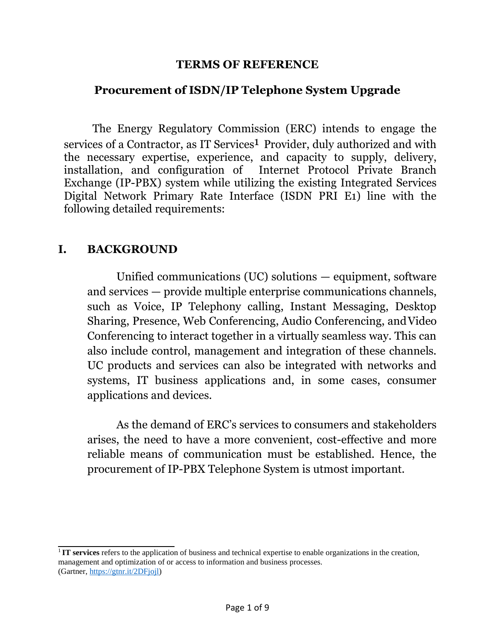#### **TERMS OF REFERENCE**

### **Procurement of ISDN/IP Telephone System Upgrade**

The Energy Regulatory Commission (ERC) intends to engage the services of a Contractor, as IT Services<sup>1</sup> Provider, duly authorized and with the necessary expertise, experience, and capacity to supply, delivery, installation, and configuration of Internet Protocol Private Branch Exchange (IP-PBX) system while utilizing the existing Integrated Services Digital Network Primary Rate Interface (ISDN PRI E1) line with the following detailed requirements:

### **I. BACKGROUND**

Unified communications (UC) solutions — equipment, software and services — provide multiple enterprise communications channels, such as Voice, IP Telephony calling, Instant Messaging, Desktop Sharing, Presence, Web Conferencing, Audio Conferencing, andVideo Conferencing to interact together in a virtually seamless way. This can also include control, management and integration of these channels. UC products and services can also be integrated with networks and systems, IT business applications and, in some cases, consumer applications and devices.

As the demand of ERC's services to consumers and stakeholders arises, the need to have a more convenient, cost-effective and more reliable means of communication must be established. Hence, the procurement of IP-PBX Telephone System is utmost important.

<sup>1</sup>**IT services** refers to the application of business and technical expertise to enable organizations in the creation, management and optimization of or access to information and business processes. (Gartner, https://gtnr.it/2DFjojl)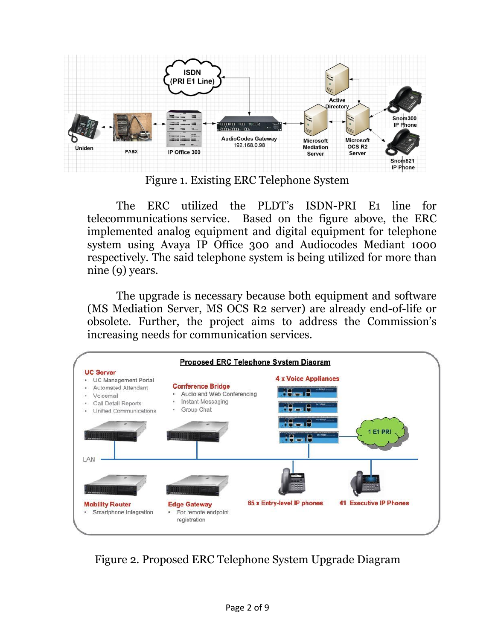

Figure 1. Existing ERC Telephone System

The ERC utilized the PLDT's ISDN-PRI E1 line for telecommunications service. Based on the figure above, the ERC implemented analog equipment and digital equipment for telephone system using Avaya IP Office 300 and Audiocodes Mediant 1000 respectively. The said telephone system is being utilized for more than nine (9) years.

The upgrade is necessary because both equipment and software (MS Mediation Server, MS OCS R2 server) are already end-of-life or obsolete. Further, the project aims to address the Commission's increasing needs for communication services.



Figure 2. Proposed ERC Telephone System Upgrade Diagram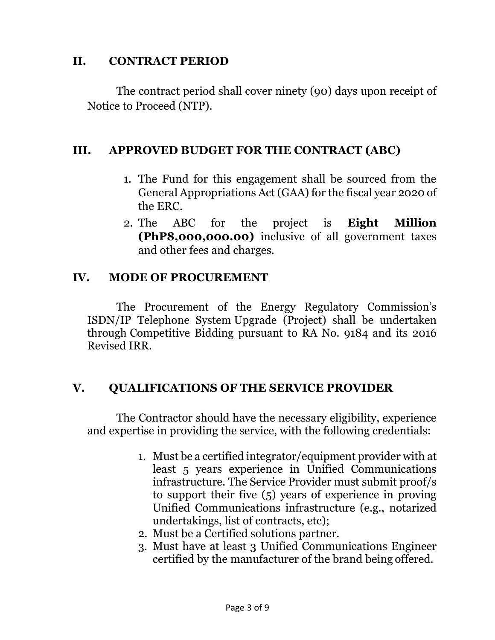## **II. CONTRACT PERIOD**

The contract period shall cover ninety (90) days upon receipt of Notice to Proceed (NTP).

## **III. APPROVED BUDGET FOR THE CONTRACT (ABC)**

- 1. The Fund for this engagement shall be sourced from the General Appropriations Act (GAA) for the fiscal year 2020 of the ERC.
- 2. The ABC for the project is **Eight Million (PhP8,000,000.00)** inclusive of all government taxes and other fees and charges.

## **IV. MODE OF PROCUREMENT**

The Procurement of the Energy Regulatory Commission's ISDN/IP Telephone System Upgrade (Project) shall be undertaken through Competitive Bidding pursuant to RA No. 9184 and its 2016 Revised IRR.

## **V. QUALIFICATIONS OF THE SERVICE PROVIDER**

The Contractor should have the necessary eligibility, experience and expertise in providing the service, with the following credentials:

- 1. Must be a certified integrator/equipment provider with at least 5 years experience in Unified Communications infrastructure. The Service Provider must submit proof/s to support their five (5) years of experience in proving Unified Communications infrastructure (e.g., notarized undertakings, list of contracts, etc);
- 2. Must be a Certified solutions partner.
- 3. Must have at least 3 Unified Communications Engineer certified by the manufacturer of the brand being offered.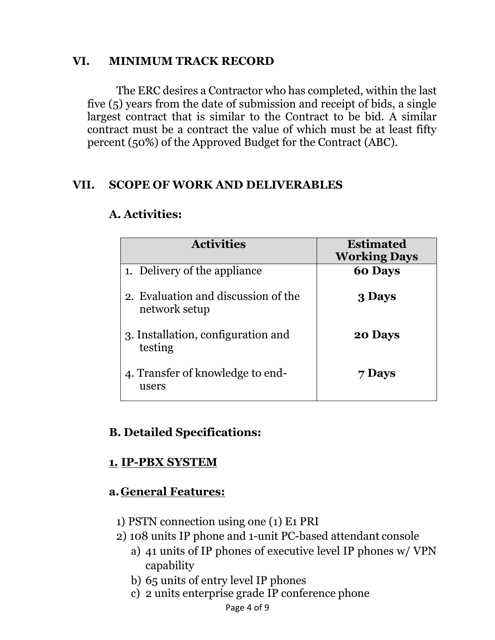## **VI. MINIMUM TRACK RECORD**

The ERC desires a Contractor who has completed, within the last five (5) years from the date of submission and receipt of bids, a single largest contract that is similar to the Contract to be bid. A similar contract must be a contract the value of which must be at least fifty percent (50%) of the Approved Budget for the Contract (ABC).

## **VII. SCOPE OF WORK AND DELIVERABLES**

| <b>Activities</b>                                    | <b>Estimated</b><br><b>Working Days</b> |
|------------------------------------------------------|-----------------------------------------|
| 1. Delivery of the appliance                         | <b>60 Days</b>                          |
| 2. Evaluation and discussion of the<br>network setup | 3 Days                                  |
| 3. Installation, configuration and<br>testing        | 20 Days                                 |
| 4. Transfer of knowledge to end-<br>users            | 7 Days                                  |

### **A. Activities:**

# **B. Detailed Specifications:**

## **1. IP-PBX SYSTEM**

# **a.General Features:**

- 1) PSTN connection using one (1) E1 PRI
- 2) 108 units IP phone and 1-unit PC-based attendant console
	- a) 41 units of IP phones of executive level IP phones w/ VPN capability
	- b) 65 units of entry level IP phones
	- c) 2 units enterprise grade IP conference phone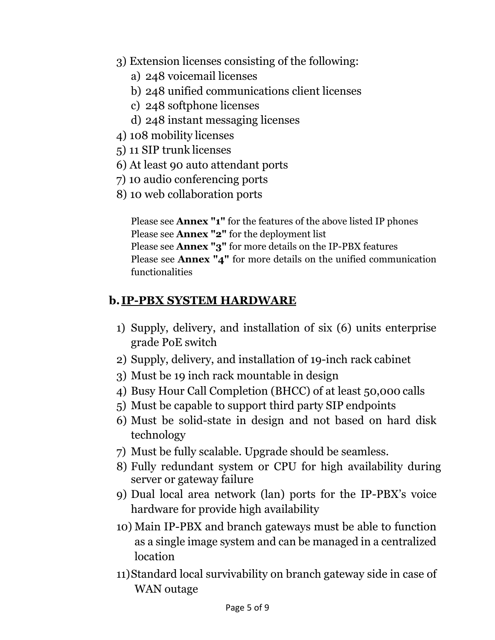- 3) Extension licenses consisting of the following:
	- a) 248 voicemail licenses
	- b) 248 unified communications client licenses
	- c) 248 softphone licenses
	- d) 248 instant messaging licenses
- 4) 108 mobility licenses
- 5) 11 SIP trunk licenses
- 6) At least 90 auto attendant ports
- 7) 10 audio conferencing ports
- 8) 10 web collaboration ports

Please see **Annex "1"** for the features of the above listed IP phones Please see **Annex "2"** for the deployment list Please see **Annex "3"** for more details on the IP-PBX features Please see **Annex "4"** for more details on the unified communication functionalities

# **b. IP-PBX SYSTEM HARDWARE**

- 1) Supply, delivery, and installation of six (6) units enterprise grade PoE switch
- 2) Supply, delivery, and installation of 19-inch rack cabinet
- 3) Must be 19 inch rack mountable in design
- 4) Busy Hour Call Completion (BHCC) of at least 50,000 calls
- 5) Must be capable to support third party SIP endpoints
- 6) Must be solid-state in design and not based on hard disk technology
- 7) Must be fully scalable. Upgrade should be seamless.
- 8) Fully redundant system or CPU for high availability during server or gateway failure
- 9) Dual local area network (lan) ports for the IP-PBX's voice hardware for provide high availability
- 10) Main IP-PBX and branch gateways must be able to function as a single image system and can be managed in a centralized location
- 11)Standard local survivability on branch gateway side in case of WAN outage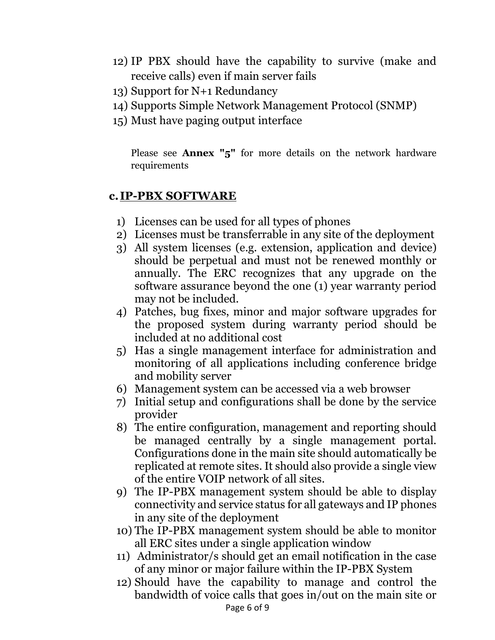- 12) IP PBX should have the capability to survive (make and receive calls) even if main server fails
- 13) Support for N+1 Redundancy
- 14) Supports Simple Network Management Protocol (SNMP)
- 15) Must have paging output interface

Please see **Annex "5"** for more details on the network hardware requirements

## **c. IP-PBX SOFTWARE**

- 1) Licenses can be used for all types of phones
- 2) Licenses must be transferrable in any site of the deployment
- 3) All system licenses (e.g. extension, application and device) should be perpetual and must not be renewed monthly or annually. The ERC recognizes that any upgrade on the software assurance beyond the one (1) year warranty period may not be included.
- 4) Patches, bug fixes, minor and major software upgrades for the proposed system during warranty period should be included at no additional cost
- 5) Has a single management interface for administration and monitoring of all applications including conference bridge and mobility server
- 6) Management system can be accessed via a web browser
- 7) Initial setup and configurations shall be done by the service provider
- 8) The entire configuration, management and reporting should be managed centrally by a single management portal. Configurations done in the main site should automatically be replicated at remote sites. It should also provide a single view of the entire VOIP network of all sites.
- 9) The IP-PBX management system should be able to display connectivity and service status for all gateways and IP phones in any site of the deployment
- 10) The IP-PBX management system should be able to monitor all ERC sites under a single application window
- 11) Administrator/s should get an email notification in the case of any minor or major failure within the IP-PBX System
- Page 6 of 9 12) Should have the capability to manage and control the bandwidth of voice calls that goes in/out on the main site or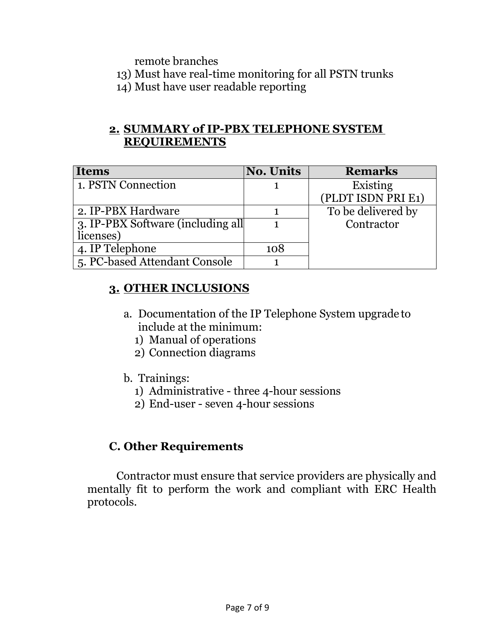remote branches

- 13) Must have real-time monitoring for all PSTN trunks
- 14) Must have user readable reporting

## **2. SUMMARY of IP-PBX TELEPHONE SYSTEM REQUIREMENTS**

| <b>Items</b>                      | <b>No. Units</b> | <b>Remarks</b>     |
|-----------------------------------|------------------|--------------------|
| 1. PSTN Connection                |                  | Existing           |
|                                   |                  | (PLDT ISDN PRI E1) |
| 2. IP-PBX Hardware                |                  | To be delivered by |
| 3. IP-PBX Software (including all |                  | Contractor         |
| licenses)                         |                  |                    |
| 4. IP Telephone                   | 108              |                    |
| 5. PC-based Attendant Console     |                  |                    |

# **3. OTHER INCLUSIONS**

- a. Documentation of the IP Telephone System upgrade to include at the minimum:
	- 1) Manual of operations
	- 2) Connection diagrams
- b. Trainings:
	- 1) Administrative three 4-hour sessions
	- 2) End-user seven 4-hour sessions

## **C. Other Requirements**

Contractor must ensure that service providers are physically and mentally fit to perform the work and compliant with ERC Health protocols.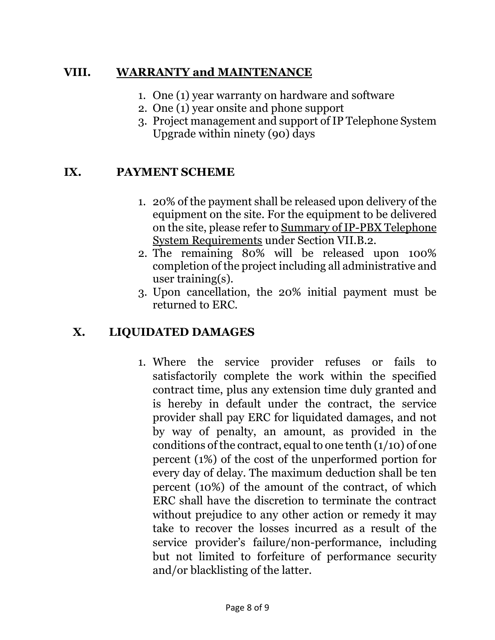## **VIII. WARRANTY and MAINTENANCE**

- 1. One (1) year warranty on hardware and software
- 2. One (1) year onsite and phone support
- 3. Project management and support of IP Telephone System Upgrade within ninety (90) days

## **IX. PAYMENT SCHEME**

- 1. 20% of the payment shall be released upon delivery of the equipment on the site. For the equipment to be delivered on the site, please refer to Summary of IP-PBX Telephone System Requirements under Section VII.B.2.
- 2. The remaining 80% will be released upon 100% completion of the project including all administrative and user training(s).
- 3. Upon cancellation, the 20% initial payment must be returned to ERC.

# **X. LIQUIDATED DAMAGES**

1. Where the service provider refuses or fails to satisfactorily complete the work within the specified contract time, plus any extension time duly granted and is hereby in default under the contract, the service provider shall pay ERC for liquidated damages, and not by way of penalty, an amount, as provided in the conditions of the contract, equal to one tenth  $(1/10)$  of one percent (1%) of the cost of the unperformed portion for every day of delay. The maximum deduction shall be ten percent (10%) of the amount of the contract, of which ERC shall have the discretion to terminate the contract without prejudice to any other action or remedy it may take to recover the losses incurred as a result of the service provider's failure/non-performance, including but not limited to forfeiture of performance security and/or blacklisting of the latter.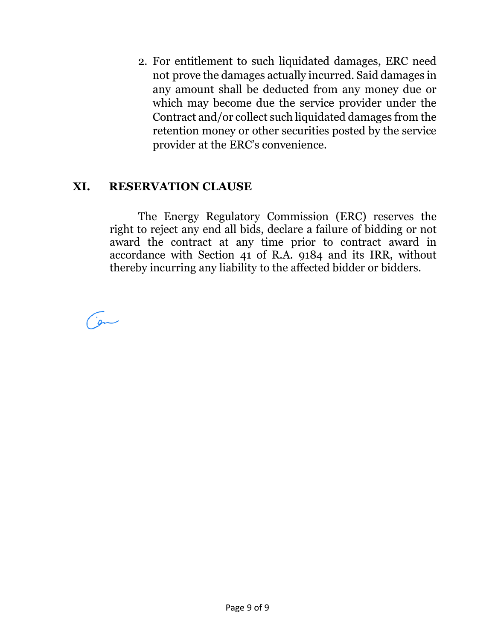2. For entitlement to such liquidated damages, ERC need not prove the damages actually incurred. Said damages in any amount shall be deducted from any money due or which may become due the service provider under the Contract and/or collect such liquidated damages from the retention money or other securities posted by the service provider at the ERC's convenience.

## **XI. RESERVATION CLAUSE**

The Energy Regulatory Commission (ERC) reserves the right to reject any end all bids, declare a failure of bidding or not award the contract at any time prior to contract award in accordance with Section 41 of R.A. 9184 and its IRR, without thereby incurring any liability to the affected bidder or bidders.

an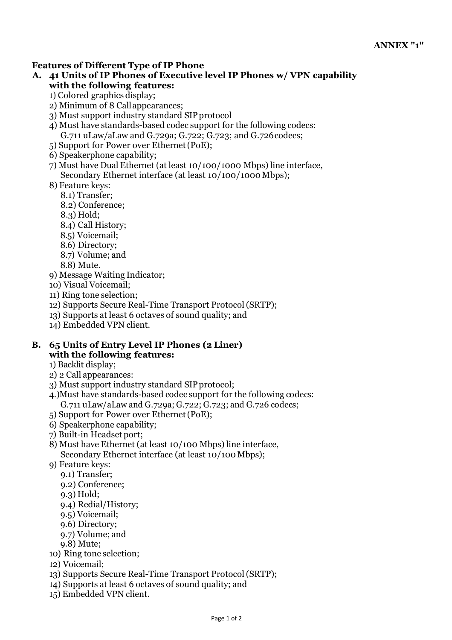#### **Features of Different Type of IP Phone**

- **A. 41 Units of IP Phones of Executive level IP Phones w/ VPN capability with the following features:**
	- 1) Colored graphics display;
	- 2) Minimum of 8 Callappearances;
	- 3) Must support industry standard SIPprotocol
	- 4) Must have standards-based codec support for the following codecs: G.711 uLaw/aLaw and G.729a; G.722; G.723; and G.726codecs;
	- 5) Support for Power over Ethernet(PoE);
	- 6) Speakerphone capability;
	- 7) Must have Dual Ethernet (at least 10/100/1000 Mbps) line interface, Secondary Ethernet interface (at least 10/100/1000 Mbps);
	- 8) Feature keys:
		- 8.1) Transfer;
		- 8.2) Conference;
		- 8.3) Hold;
		- 8.4) Call History;
		- 8.5) Voicemail;
		- 8.6) Directory;
		- 8.7) Volume; and
		- 8.8) Mute.
	- 9) Message Waiting Indicator;
	- 10) Visual Voicemail;
	- 11) Ring tone selection;
	- 12) Supports Secure Real-Time Transport Protocol(SRTP);
	- 13) Supports at least 6 octaves of sound quality; and
	- 14) Embedded VPN client.

#### **B. 65 Units of Entry Level IP Phones (2 Liner) with the following features:**

- 1) Backlit display;
- 2) 2 Call appearances:
- 3) Must support industry standard SIPprotocol;
- 4.)Must have standards-based codec support for the following codecs: G.711 uLaw/aLaw and G.729a; G.722; G.723; and G.726 codecs;
- 5) Support for Power over Ethernet(PoE);
- 6) Speakerphone capability;
- 7) Built-in Headset port;
- 8) Must have Ethernet (at least 10/100 Mbps) line interface, Secondary Ethernet interface (at least 10/100Mbps);
- 9) Feature keys:
	- 9.1) Transfer;
	- 9.2) Conference;
	- 9.3) Hold;
	- 9.4) Redial/History;
	- 9.5) Voicemail;
	- 9.6) Directory;
	- 9.7) Volume; and
	- 9.8) Mute;
- 10) Ring tone selection;
- 12) Voicemail;
- 13) Supports Secure Real-Time Transport Protocol(SRTP);
- 14) Supports at least 6 octaves of sound quality; and
- 15) Embedded VPN client.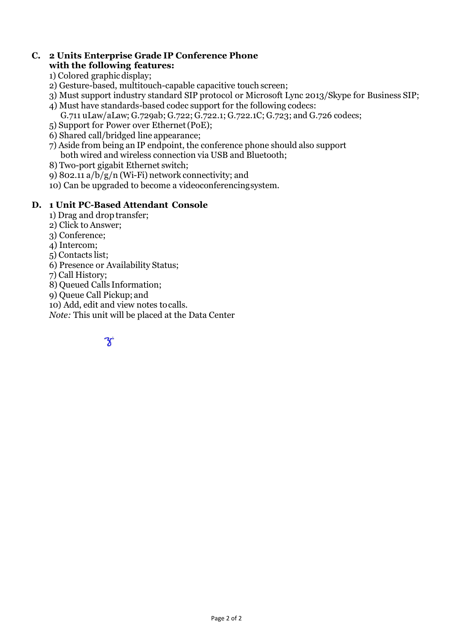#### **C. 2 Units Enterprise Grade IP Conference Phone with the following features:**

- 1) Colored graphicdisplay;
- 2) Gesture-based, multitouch-capable capacitive touch screen;
- 3) Must support industry standard SIP protocol or Microsoft Lync 2013/Skype for Business SIP;
- 4) Must have standards-based codec support for the following codecs:
	- G.711 uLaw/aLaw; G.729ab; G.722; G.722.1; G.722.1C; G.723; and G.726 codecs;
- 5) Support for Power over Ethernet(PoE);
- 6) Shared call/bridged line appearance;
- 7) Aside from being an IP endpoint, the conference phone should also support both wired and wireless connection via USB and Bluetooth;
- 8) Two-port gigabit Ethernet switch;
- 9) 802.11 a/b/g/n (Wi-Fi) network connectivity; and
- 10) Can be upgraded to become a videoconferencingsystem.

#### **D. 1 Unit PC-Based Attendant Console**

- 1) Drag and drop transfer;
- 2) Click to Answer;
- 3) Conference;
- 4) Intercom;
- 5) Contacts list;
- 6) Presence or Availability Status;
- 7) Call History;
- 8) Queued Calls Information;
- 9) Queue Call Pickup; and
- 10) Add, edit and view notes tocalls.
- *Note:* This unit will be placed at the Data Center

$$
\overline{\mathbf{y}}
$$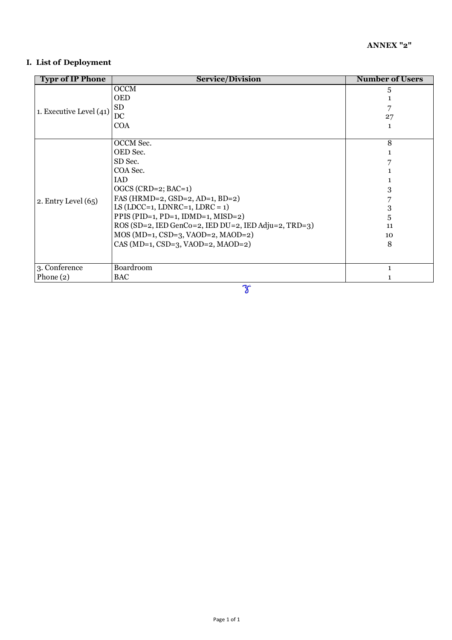#### **I. List of Deployment**

| <b>OCCM</b><br>5<br><b>OED</b><br><b>SD</b><br>1. Executive Level (41)<br>DC<br>27<br><b>COA</b><br>1<br>OCCM Sec.<br>8<br>OED Sec.<br>SD Sec.<br>COA Sec.<br>IAD<br>$OGCS$ (CRD=2; BAC=1)<br>3<br>FAS (HRMD=2, GSD=2, AD=1, BD=2)<br>2. Entry Level $(65)$<br>LS (LDCC=1, LDNRC=1, LDRC = $1$ )<br>3<br>PPIS (PID=1, PD=1, IDMD=1, MISD=2)<br>5<br>ROS (SD=2, IED GenCo=2, IED DU=2, IED Adju=2, TRD=3)<br>11<br>MOS (MD=1, CSD=3, VAOD=2, MAOD=2)<br>10<br>$CAS (MD=1, CSD=3, VAOD=2, MADD=2)$<br>8<br>Boardroom<br>3. Conference<br>1<br>Phone $(2)$<br><b>BAC</b> | <b>Typr of IP Phone</b> | <b>Service/Division</b> | <b>Number of Users</b> |
|-----------------------------------------------------------------------------------------------------------------------------------------------------------------------------------------------------------------------------------------------------------------------------------------------------------------------------------------------------------------------------------------------------------------------------------------------------------------------------------------------------------------------------------------------------------------------|-------------------------|-------------------------|------------------------|
|                                                                                                                                                                                                                                                                                                                                                                                                                                                                                                                                                                       |                         |                         |                        |
|                                                                                                                                                                                                                                                                                                                                                                                                                                                                                                                                                                       |                         |                         |                        |
|                                                                                                                                                                                                                                                                                                                                                                                                                                                                                                                                                                       |                         |                         |                        |
|                                                                                                                                                                                                                                                                                                                                                                                                                                                                                                                                                                       |                         |                         |                        |
|                                                                                                                                                                                                                                                                                                                                                                                                                                                                                                                                                                       |                         |                         |                        |
|                                                                                                                                                                                                                                                                                                                                                                                                                                                                                                                                                                       |                         |                         |                        |
|                                                                                                                                                                                                                                                                                                                                                                                                                                                                                                                                                                       |                         |                         |                        |
|                                                                                                                                                                                                                                                                                                                                                                                                                                                                                                                                                                       |                         |                         |                        |
|                                                                                                                                                                                                                                                                                                                                                                                                                                                                                                                                                                       |                         |                         |                        |
|                                                                                                                                                                                                                                                                                                                                                                                                                                                                                                                                                                       |                         |                         |                        |
|                                                                                                                                                                                                                                                                                                                                                                                                                                                                                                                                                                       |                         |                         |                        |
|                                                                                                                                                                                                                                                                                                                                                                                                                                                                                                                                                                       |                         |                         |                        |
|                                                                                                                                                                                                                                                                                                                                                                                                                                                                                                                                                                       |                         |                         |                        |
|                                                                                                                                                                                                                                                                                                                                                                                                                                                                                                                                                                       |                         |                         |                        |
|                                                                                                                                                                                                                                                                                                                                                                                                                                                                                                                                                                       |                         |                         |                        |
|                                                                                                                                                                                                                                                                                                                                                                                                                                                                                                                                                                       |                         |                         |                        |
|                                                                                                                                                                                                                                                                                                                                                                                                                                                                                                                                                                       |                         |                         |                        |
|                                                                                                                                                                                                                                                                                                                                                                                                                                                                                                                                                                       |                         |                         |                        |
|                                                                                                                                                                                                                                                                                                                                                                                                                                                                                                                                                                       |                         |                         |                        |
|                                                                                                                                                                                                                                                                                                                                                                                                                                                                                                                                                                       |                         |                         |                        |
|                                                                                                                                                                                                                                                                                                                                                                                                                                                                                                                                                                       |                         |                         |                        |

F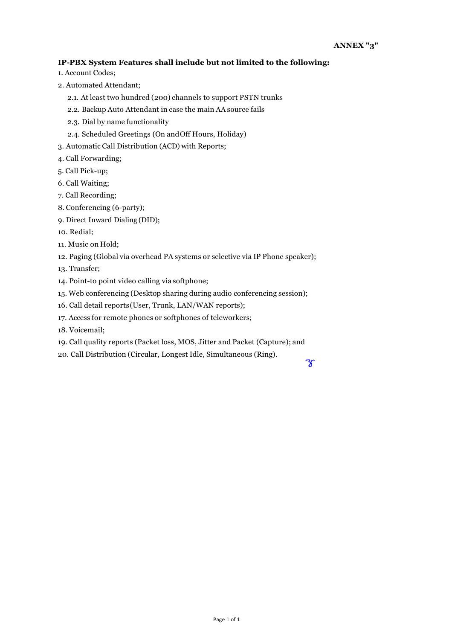#### **IP-PBX System Features shall include but not limited to the following:**

- 1. Account Codes;
- 2. Automated Attendant;
	- 2.1. At least two hundred (200) channels to support PSTN trunks
	- 2.2. Backup Auto Attendant in case the main AA source fails
	- 2.3. Dial by name functionality
	- 2.4. Scheduled Greetings (On andOff Hours, Holiday)
- 3. Automatic Call Distribution (ACD) with Reports;
- 4. Call Forwarding;
- 5. Call Pick-up;
- 6. Call Waiting;
- 7. Call Recording;
- 8. Conferencing (6-party);
- 9. Direct Inward Dialing (DID);
- 10. Redial;
- 11. Music on Hold;
- 12. Paging (Global via overhead PA systems or selective via IP Phone speaker);
- 13. Transfer;
- 14. Point-to point video calling via softphone;
- 15. Web conferencing (Desktop sharing during audio conferencing session);
- 16. Call detail reports(User, Trunk, LAN/WAN reports);
- 17. Access for remote phones or softphones of teleworkers;
- 18. Voicemail;
- 19. Call quality reports (Packet loss, MOS, Jitter and Packet (Capture); and
- 20. Call Distribution (Circular, Longest Idle, Simultaneous (Ring).

F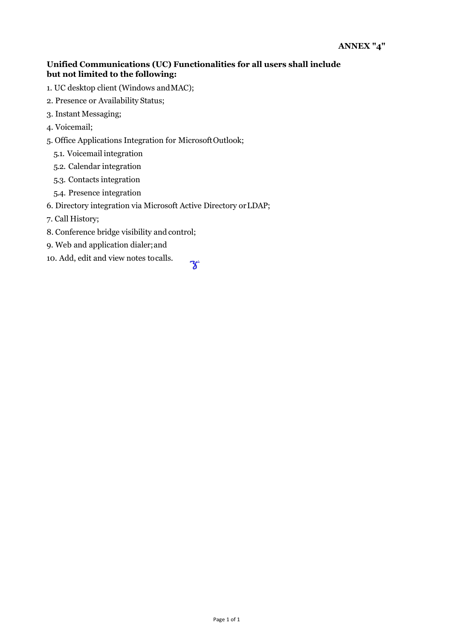#### **Unified Communications (UC) Functionalities for all users shall include but not limited to the following:**

 $\mathcal{C}$ 

- 1. UC desktop client (Windows andMAC);
- 2. Presence or Availability Status;
- 3. Instant Messaging;
- 4. Voicemail;
- 5. Office Applications Integration for MicrosoftOutlook;
	- 5.1. Voicemail integration
	- 5.2. Calendar integration
	- 5.3. Contacts integration
	- 5.4. Presence integration
- 6. Directory integration via Microsoft Active Directory orLDAP;
- 7. Call History;
- 8. Conference bridge visibility and control;
- 9. Web and application dialer;and
- 10. Add, edit and view notes tocalls.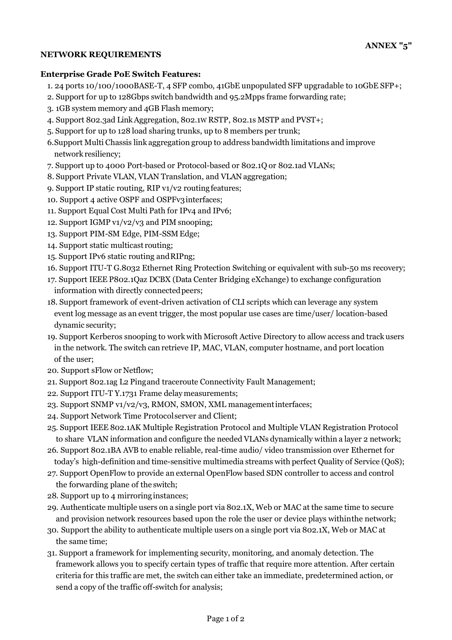#### **NETWORK REQUIREMENTS**

#### **Enterprise Grade PoE Switch Features:**

- 1. 24 ports 10/100/1000BASE-T, 4 SFP combo, 41GbE unpopulated SFP upgradable to 10GbE SFP+;
- 2. Support for up to 128Gbps switch bandwidth and 95.2Mpps frame forwarding rate;
- 3. 1GB system memory and 4GB Flash memory;
- 4. Support 802.3ad LinkAggregation, 802.1W RSTP, 802.1s MSTP and PVST+;
- 5. Support for up to 128 load sharing trunks, up to 8 members per trunk;
- 6.Support Multi Chassis link aggregation group to address bandwidth limitations and improve network resiliency;
- 7. Support up to 4000 Port-based or Protocol-based or 802.1Q or 802.1ad VLANs;
- 8. Support Private VLAN, VLAN Translation, and VLAN aggregation;
- 9. Support IP static routing, RIP v1/v2 routing features;
- 10. Support 4 active OSPF and OSPFv3interfaces;
- 11. Support Equal Cost Multi Path for IPv4 and IPv6;
- 12. Support IGMP v1/v2/v3 and PIM snooping;
- 13. Support PIM-SM Edge, PIM-SSMEdge;
- 14. Support static multicast routing;
- 15. Support IPv6 static routing andRIPng;
- 16. Support ITU-T G.8032 Ethernet Ring Protection Switching or equivalent with sub-50 ms recovery;
- 17. Support IEEE P802.1Qaz DCBX (Data Center Bridging eXchange) to exchange configuration information with directly connected peers;
- 18. Support framework of event-driven activation of CLI scripts which can leverage any system event log message as an event trigger, the most popular use cases are time/user/ location-based dynamic security;
- 19. Support Kerberos snooping to work with Microsoft Active Directory to allow access and track users in the network. The switch can retrieve IP, MAC, VLAN, computer hostname, and port location of the user;
- 20. Support sFlow or Netflow;
- 21. Support 802.1ag L2 Pingand traceroute Connectivity Fault Management;
- 22. Support ITU-T Y.1731 Frame delaymeasurements;
- 23. Support SNMP v1/v2/v3, RMON, SMON, XML managementinterfaces;
- 24. Support Network Time Protocolserver and Client;
- 25. Support IEEE 802.1AK Multiple Registration Protocol and Multiple VLAN Registration Protocol to share VLAN information and configure the needed VLANs dynamically within a layer 2 network;
- 26. Support 802.1BA AVB to enable reliable, real-time audio/ video transmission over Ethernet for today's high-definition and time-sensitive multimedia streams with perfect Quality of Service (QoS);
- 27. Support OpenFlow to provide an external OpenFlow based SDN controller to access and control the forwarding plane of the switch;
- 28. Support up to 4 mirroringinstances;
- 29. Authenticate multiple users on a single port via 802.1X, Web or MAC at the same time to secure and provision network resources based upon the role the user or device plays withinthe network;
- 30. Support the ability to authenticate multiple users on a single port via 802.1X, Web or MAC at the same time;
- 31. Support a framework for implementing security, monitoring, and anomaly detection. The framework allows you to specify certain types of traffic that require more attention. After certain criteria for this traffic are met, the switch can either take an immediate, predetermined action, or send a copy of the traffic off-switch for analysis;